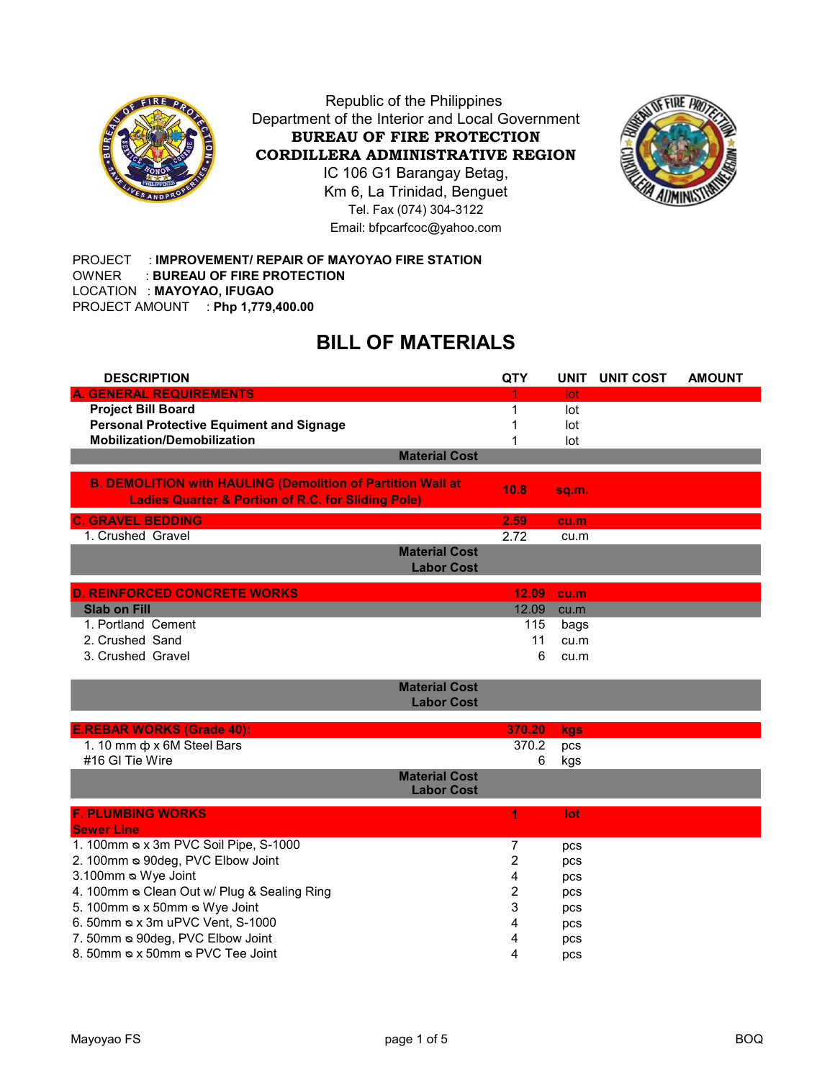

Republic of the Philippines Department of the Interior and Local Government BUREAU OF FIRE PROTECTION CORDILLERA ADMINISTRATIVE REGION

IC 106 G1 Barangay Betag, Km 6, La Trinidad, Benguet Tel. Fax (074) 304-3122 Email: bfpcarfcoc@yahoo.com



PROJECT : IMPROVEMENT/ REPAIR OF MAYOYAO FIRE STATION OWNER : BUREAU OF FIRE PROTECTION LOCATION : MAYOYAO, IFUGAO PROJECT AMOUNT : Php 1,779,400.00

## BILL OF MATERIALS

| <b>DESCRIPTION</b>                                                 | <b>QTY</b> |       | UNIT UNIT COST | <b>AMOUNT</b> |
|--------------------------------------------------------------------|------------|-------|----------------|---------------|
| <b>A. GENERAL REQUIREMENTS</b>                                     |            | lot   |                |               |
| <b>Project Bill Board</b>                                          | 1          | lot   |                |               |
| <b>Personal Protective Equiment and Signage</b>                    |            | lot   |                |               |
| <b>Mobilization/Demobilization</b>                                 |            | lot   |                |               |
| <b>Material Cost</b>                                               |            |       |                |               |
| <b>B. DEMOLITION with HAULING (Demolition of Partition Wall at</b> | 10.8       | sq.m. |                |               |
| <b>Ladies Quarter &amp; Portion of R.C. for Sliding Pole)</b>      |            |       |                |               |
| <b>C. GRAVEL BEDDING</b>                                           | 2.59       | cu.m  |                |               |
| 1. Crushed Gravel                                                  | 2.72       | cu.m  |                |               |
| <b>Material Cost</b><br><b>Labor Cost</b>                          |            |       |                |               |
| <b>D. REINFORCED CONCRETE WORKS</b>                                | 12.09      | cu.m  |                |               |
| <b>Slab on Fill</b>                                                | 12.09      | cu.m  |                |               |
| 1. Portland Cement                                                 | 115        | bags  |                |               |
| 2. Crushed Sand                                                    | 11         | cu.m  |                |               |
| 3. Crushed Gravel                                                  | 6          | cu.m  |                |               |
| <b>Material Cost</b>                                               |            |       |                |               |
| <b>Labor Cost</b>                                                  |            |       |                |               |
|                                                                    |            |       |                |               |
| <b>E.REBAR WORKS (Grade 40):</b>                                   | 370.20     | kgs   |                |               |
| 1. 10 mm $\phi$ x 6M Steel Bars                                    | 370.2      | pcs   |                |               |
| #16 GI Tie Wire                                                    | 6          | kgs   |                |               |
| <b>Material Cost</b><br><b>Labor Cost</b>                          |            |       |                |               |
| <b>F. PLUMBING WORKS</b>                                           | 1          | lot   |                |               |
| <b>Sewer Line</b>                                                  |            |       |                |               |
| 1. 100mm & x 3m PVC Soil Pipe, S-1000                              | 7          | pcs   |                |               |
| 2. 100mm & 90deg, PVC Elbow Joint                                  | 2          | pcs   |                |               |
| 3.100mm & Wye Joint                                                | 4          | pcs   |                |               |
| 4. 100mm & Clean Out w/ Plug & Sealing Ring                        | 2          | pcs   |                |               |
| 5. 100mm & x 50mm & Wye Joint                                      | 3          | pcs   |                |               |
| 6. 50mm & x 3m uPVC Vent, S-1000                                   | 4          | pcs   |                |               |
| 7. 50mm & 90deg, PVC Elbow Joint                                   | 4          | pcs   |                |               |
| 8. 50mm & x 50mm & PVC Tee Joint                                   | 4          | pcs   |                |               |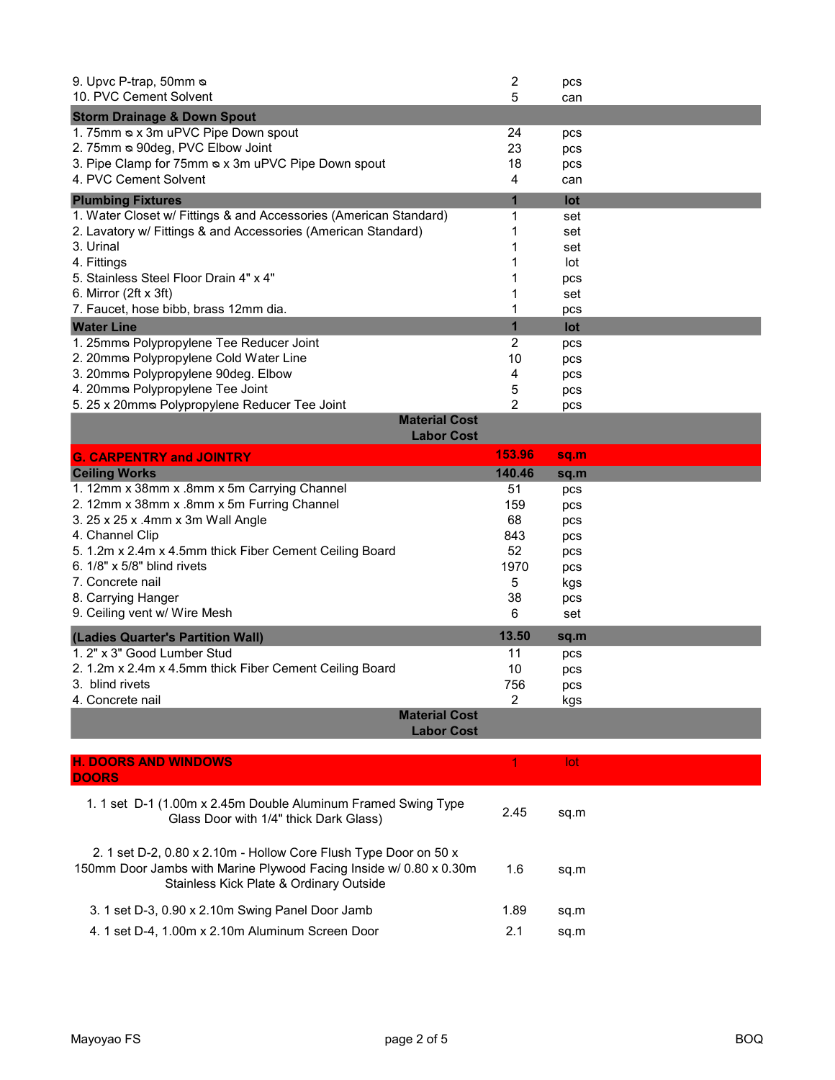| 9. Upvc P-trap, 50mm &<br>10. PVC Cement Solvent                                                                                                                                  | $\overline{\mathbf{c}}$<br>5 | pcs<br>can |  |
|-----------------------------------------------------------------------------------------------------------------------------------------------------------------------------------|------------------------------|------------|--|
| <b>Storm Drainage &amp; Down Spout</b>                                                                                                                                            |                              |            |  |
| 1. 75mm & x 3m uPVC Pipe Down spout                                                                                                                                               | 24                           | pcs        |  |
| 2. 75mm & 90deg, PVC Elbow Joint                                                                                                                                                  | 23                           | pcs        |  |
| 3. Pipe Clamp for 75mm & x 3m uPVC Pipe Down spout                                                                                                                                | 18                           | pcs        |  |
| 4. PVC Cement Solvent                                                                                                                                                             | 4                            | can        |  |
| <b>Plumbing Fixtures</b>                                                                                                                                                          | $\mathbf{1}$                 | lot        |  |
| 1. Water Closet w/ Fittings & and Accessories (American Standard)                                                                                                                 | 1                            | set        |  |
| 2. Lavatory w/ Fittings & and Accessories (American Standard)                                                                                                                     | 1                            | set        |  |
| 3. Urinal                                                                                                                                                                         | 1                            | set        |  |
| 4. Fittings                                                                                                                                                                       | 1                            | lot        |  |
| 5. Stainless Steel Floor Drain 4" x 4"                                                                                                                                            | 1                            | pcs        |  |
| 6. Mirror (2ft x 3ft)                                                                                                                                                             | 1                            | set        |  |
| 7. Faucet, hose bibb, brass 12mm dia.                                                                                                                                             | 1                            | pcs        |  |
| <b>Water Line</b>                                                                                                                                                                 | $\mathbf{1}$                 | lot        |  |
| 1. 25mms Polypropylene Tee Reducer Joint                                                                                                                                          | 2                            | pcs        |  |
| 2. 20mms Polypropylene Cold Water Line                                                                                                                                            | 10                           | pcs        |  |
| 3. 20mms Polypropylene 90deg. Elbow                                                                                                                                               | 4                            | pcs        |  |
| 4. 20mms Polypropylene Tee Joint<br>5. 25 x 20mms Polypropylene Reducer Tee Joint                                                                                                 | 5<br>2                       | pcs        |  |
| <b>Material Cost</b>                                                                                                                                                              |                              | pcs        |  |
| <b>Labor Cost</b>                                                                                                                                                                 |                              |            |  |
| <b>G. CARPENTRY and JOINTRY</b>                                                                                                                                                   | 153.96                       | sq.m       |  |
| <b>Ceiling Works</b>                                                                                                                                                              | 140.46                       | sq.m       |  |
| 1. 12mm x 38mm x .8mm x 5m Carrying Channel                                                                                                                                       | 51                           | pcs        |  |
| 2. 12mm x 38mm x .8mm x 5m Furring Channel                                                                                                                                        | 159                          | pcs        |  |
| 3. 25 x 25 x .4mm x 3m Wall Angle                                                                                                                                                 | 68                           | pcs        |  |
| 4. Channel Clip                                                                                                                                                                   | 843                          | pcs        |  |
| 5. 1.2m x 2.4m x 4.5mm thick Fiber Cement Ceiling Board                                                                                                                           | 52                           | pcs        |  |
| 6. 1/8" x 5/8" blind rivets                                                                                                                                                       | 1970                         | pcs        |  |
| 7. Concrete nail                                                                                                                                                                  | 5                            | kgs        |  |
| 8. Carrying Hanger<br>9. Ceiling vent w/ Wire Mesh                                                                                                                                | 38<br>6                      | pcs<br>set |  |
|                                                                                                                                                                                   |                              |            |  |
| (Ladies Quarter's Partition Wall)                                                                                                                                                 | 13.50                        | sq.m       |  |
| 1. 2" x 3" Good Lumber Stud                                                                                                                                                       | 11                           | pcs        |  |
| 2. 1.2m x 2.4m x 4.5mm thick Fiber Cement Ceiling Board                                                                                                                           | 10                           | pcs        |  |
| 3. blind rivets                                                                                                                                                                   | 756<br>2                     | pcs        |  |
| 4. Concrete nail<br><b>Material Cost</b>                                                                                                                                          |                              | kgs        |  |
| <b>Labor Cost</b>                                                                                                                                                                 |                              |            |  |
|                                                                                                                                                                                   |                              |            |  |
| <b>H. DOORS AND WINDOWS</b><br><b>DOORS</b>                                                                                                                                       | 1                            | lot        |  |
| 1. 1 set D-1 (1.00m x 2.45m Double Aluminum Framed Swing Type<br>Glass Door with 1/4" thick Dark Glass)                                                                           | 2.45                         | sq.m       |  |
| 2. 1 set D-2, 0.80 x 2.10m - Hollow Core Flush Type Door on 50 x<br>150mm Door Jambs with Marine Plywood Facing Inside w/ 0.80 x 0.30m<br>Stainless Kick Plate & Ordinary Outside | 1.6                          | sq.m       |  |
| 3. 1 set D-3, 0.90 x 2.10m Swing Panel Door Jamb                                                                                                                                  | 1.89                         | sq.m       |  |
| 4. 1 set D-4, 1.00m x 2.10m Aluminum Screen Door                                                                                                                                  | 2.1                          | sq.m       |  |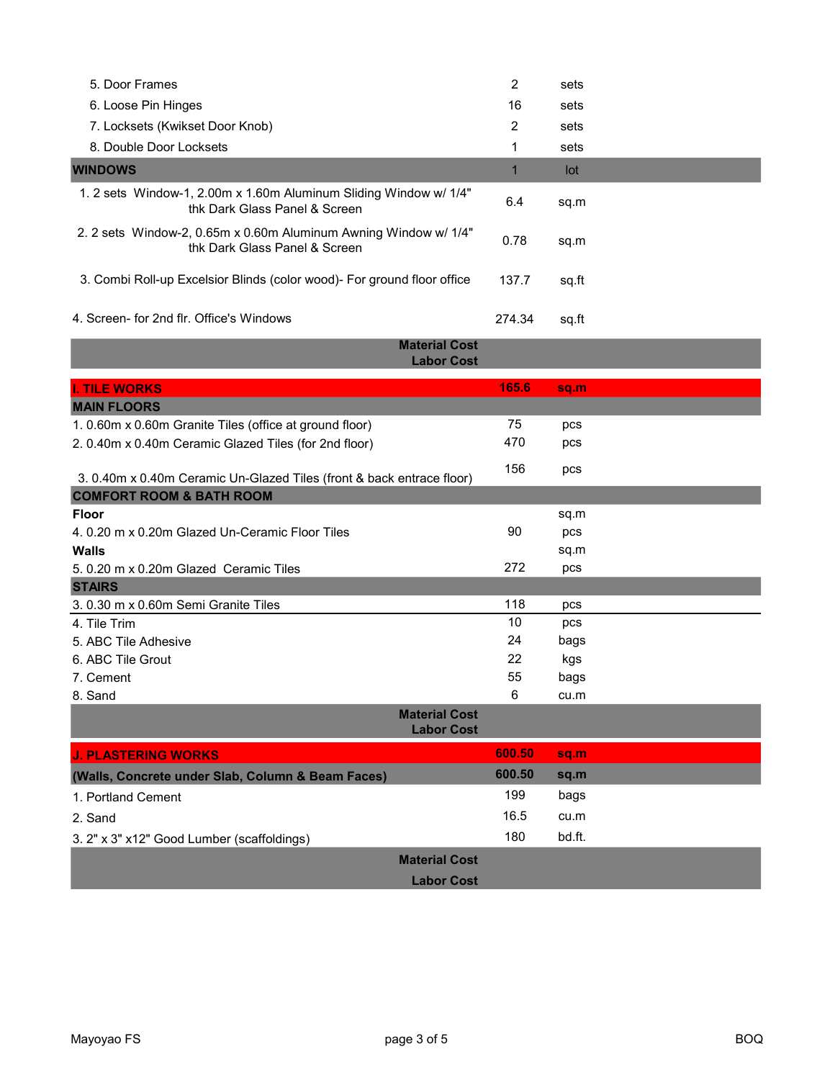| 5. Door Frames                                                                                     | 2      | sets  |  |
|----------------------------------------------------------------------------------------------------|--------|-------|--|
| 6. Loose Pin Hinges                                                                                | 16     | sets  |  |
| 7. Locksets (Kwikset Door Knob)                                                                    | 2      | sets  |  |
| 8. Double Door Locksets                                                                            | 1      | sets  |  |
| <b>WINDOWS</b>                                                                                     |        | lot   |  |
| 1. 2 sets Window-1, 2.00m x 1.60m Aluminum Sliding Window w/ 1/4"<br>thk Dark Glass Panel & Screen | 6.4    | sq.m  |  |
| 2. 2 sets Window-2, 0.65m x 0.60m Aluminum Awning Window w/ 1/4"<br>thk Dark Glass Panel & Screen  | 0.78   | sq.m  |  |
| 3. Combi Roll-up Excelsior Blinds (color wood) - For ground floor office                           | 137.7  | sq.ft |  |
| 4. Screen- for 2nd flr. Office's Windows                                                           | 274.34 | sq.ft |  |

|                                                                       | <b>Material Cost</b><br><b>Labor Cost</b> |        |        |  |
|-----------------------------------------------------------------------|-------------------------------------------|--------|--------|--|
| <b>I. TILE WORKS</b>                                                  |                                           | 165.6  | sq.m   |  |
| <b>MAIN FLOORS</b>                                                    |                                           |        |        |  |
| 1. 0.60m x 0.60m Granite Tiles (office at ground floor)               |                                           | 75     | pcs    |  |
| 2. 0.40m x 0.40m Ceramic Glazed Tiles (for 2nd floor)                 |                                           | 470    | pcs    |  |
| 3. 0.40m x 0.40m Ceramic Un-Glazed Tiles (front & back entrace floor) |                                           | 156    | pcs    |  |
| <b>COMFORT ROOM &amp; BATH ROOM</b>                                   |                                           |        |        |  |
| <b>Floor</b>                                                          |                                           |        | sq.m   |  |
| 4, 0.20 m x 0.20m Glazed Un-Ceramic Floor Tiles                       |                                           | 90     | pcs    |  |
| <b>Walls</b>                                                          |                                           |        | sq.m   |  |
| 5. 0.20 m x 0.20m Glazed Ceramic Tiles                                |                                           | 272    | pcs    |  |
| <b>STAIRS</b>                                                         |                                           |        |        |  |
| 3.0.30 m x 0.60m Semi Granite Tiles                                   |                                           | 118    | pcs    |  |
| 4. Tile Trim                                                          |                                           | 10     | pcs    |  |
| 5. ABC Tile Adhesive                                                  |                                           | 24     | bags   |  |
| 6. ABC Tile Grout                                                     |                                           | 22     | kgs    |  |
| 7. Cement                                                             |                                           | 55     | bags   |  |
| 8. Sand                                                               |                                           | 6      | cu.m   |  |
|                                                                       | <b>Material Cost</b><br><b>Labor Cost</b> |        |        |  |
| <b>J. PLASTERING WORKS</b>                                            |                                           | 600.50 | sq.m   |  |
| (Walls, Concrete under Slab, Column & Beam Faces)                     |                                           | 600.50 | sq.m   |  |
| 1. Portland Cement                                                    |                                           | 199    | bags   |  |
| 2. Sand                                                               |                                           | 16.5   | cu.m   |  |
| 3. 2" x 3" x12" Good Lumber (scaffoldings)                            |                                           | 180    | bd.ft. |  |
|                                                                       | <b>Material Cost</b>                      |        |        |  |
|                                                                       | <b>Labor Cost</b>                         |        |        |  |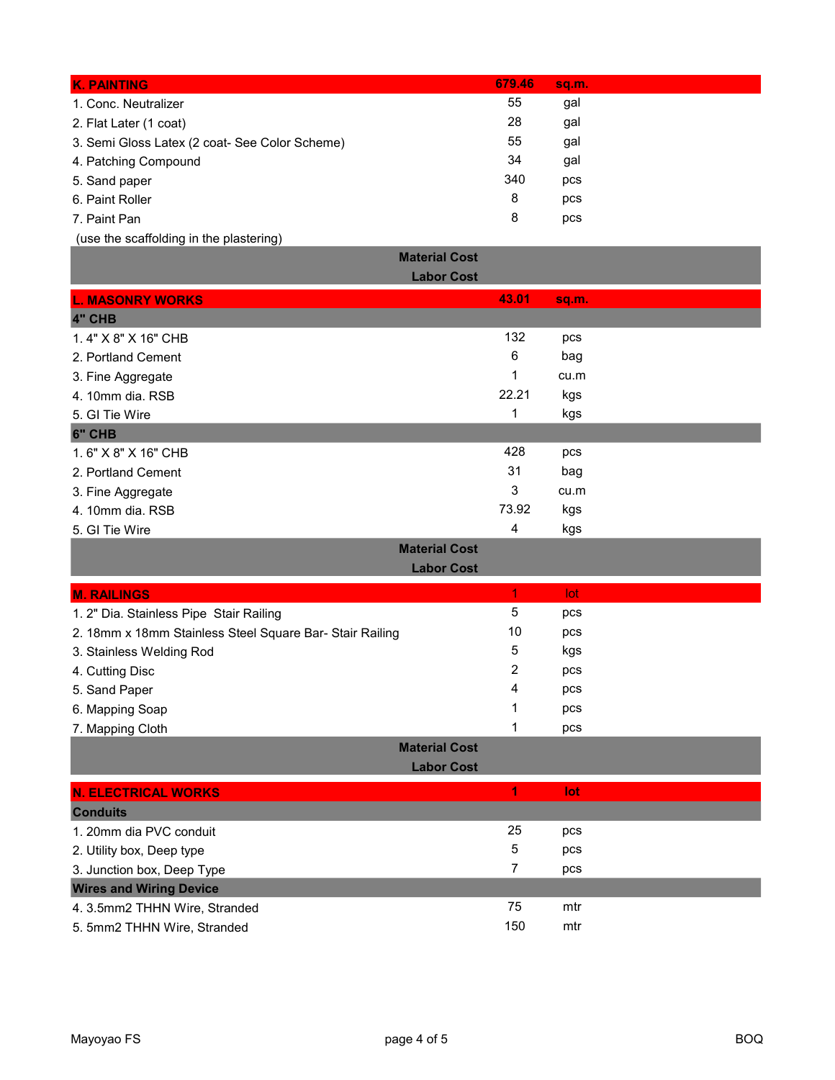| 55<br>1. Conc. Neutralizer<br>gal                           |
|-------------------------------------------------------------|
| 28<br>gal<br>2. Flat Later (1 coat)                         |
| 55<br>gal<br>3. Semi Gloss Latex (2 coat- See Color Scheme) |
| 34<br>gal<br>4. Patching Compound                           |
| 340<br>5. Sand paper<br>pcs                                 |
| 8<br>6. Paint Roller<br>pcs                                 |
| 8<br>7. Paint Pan<br>pcs                                    |

(use the scaffolding in the plastering)

| <b>Material Cost</b>                                     |              |       |  |
|----------------------------------------------------------|--------------|-------|--|
| <b>Labor Cost</b>                                        |              |       |  |
| <b>L. MASONRY WORKS</b>                                  | 43.01        | sq.m. |  |
| 4" CHB                                                   |              |       |  |
| 1.4" X 8" X 16" CHB                                      | 132          | pcs   |  |
| 2. Portland Cement                                       | 6            | bag   |  |
| 3. Fine Aggregate                                        | 1            | cu.m  |  |
| 4. 10mm dia. RSB                                         | 22.21        | kgs   |  |
| 5. GI Tie Wire                                           | $\mathbf{1}$ | kgs   |  |
| 6" CHB                                                   |              |       |  |
| 1.6" X 8" X 16" CHB                                      | 428          | pcs   |  |
| 2. Portland Cement                                       | 31           | bag   |  |
| 3. Fine Aggregate                                        | 3            | cu.m  |  |
| 4. 10mm dia. RSB                                         | 73.92        | kgs   |  |
| 5. GI Tie Wire                                           | 4            | kgs   |  |
| <b>Material Cost</b>                                     |              |       |  |
| <b>Labor Cost</b>                                        |              |       |  |
| <b>M. RAILINGS</b>                                       | 1            | lot   |  |
| 1. 2" Dia. Stainless Pipe Stair Railing                  | 5            | pcs   |  |
| 2. 18mm x 18mm Stainless Steel Square Bar- Stair Railing | 10           | pcs   |  |
| 3. Stainless Welding Rod                                 | 5            | kgs   |  |
| 4. Cutting Disc                                          | 2            | pcs   |  |
| 5. Sand Paper                                            | 4            | pcs   |  |
| 6. Mapping Soap                                          | 1            | pcs   |  |
| 7. Mapping Cloth                                         | 1            | pcs   |  |
| <b>Material Cost</b>                                     |              |       |  |
| <b>Labor Cost</b>                                        |              |       |  |
| <b>N. ELECTRICAL WORKS</b>                               | 1            | lot   |  |
| <b>Conduits</b>                                          |              |       |  |
| 1. 20mm dia PVC conduit                                  | 25           | pcs   |  |
| 2. Utility box, Deep type                                | $\mathbf 5$  | pcs   |  |
| 3. Junction box, Deep Type                               | 7            | pcs   |  |
| <b>Wires and Wiring Device</b>                           |              |       |  |
| 4. 3.5mm2 THHN Wire, Stranded                            | 75           | mtr   |  |
| 5. 5mm2 THHN Wire, Stranded                              | 150          | mtr   |  |